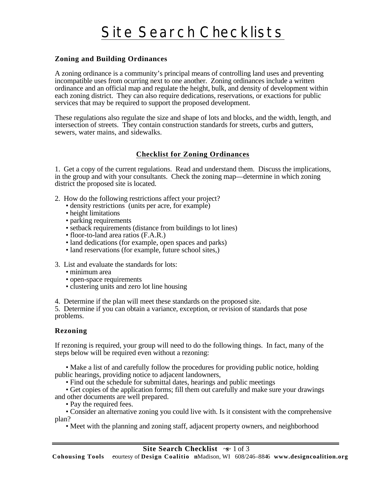# Site Search Checklists

## **Zoning and Building Ordinances**

A zoning ordinance is a community's principal means of controlling land uses and preventing incompatible uses from ocurring next to one another. Zoning ordinances include a written ordinance and an official map and regulate the height, bulk, and density of development within each zoning district. They can also require dedications, reservations, or exactions for public services that may be required to support the proposed development.

These regulations also regulate the size and shape of lots and blocks, and the width, length, and intersection of streets. They contain construction standards for streets, curbs and gutters, sewers, water mains, and sidewalks.

#### **Checklist for Zoning Ordinances**

1. Get a copy of the current regulations. Read and understand them. Discuss the implications, in the group and with your consultants. Check the zoning map—determine in which zoning district the proposed site is located.

- 2. How do the following restrictions affect your project?
	- density restrictions (units per acre, for example)
	- height limitations
	- parking requirements
	- setback requirements (distance from buildings to lot lines)
	- floor-to-land area ratios (F.A.R.)
	- land dedications (for example, open spaces and parks)
	- land reservations (for example, future school sites.)
- 3. List and evaluate the standards for lots:
	- minimum area
	- open-space requirements
	- clustering units and zero lot line housing

4. Determine if the plan will meet these standards on the proposed site.

5. Determine if you can obtain a variance, exception, or revision of standards that pose problems.

#### **Rezoning**

l

If rezoning is required, your group will need to do the following things. In fact, many of the steps below will be required even without a rezoning:

• Make a list of and carefully follow the procedures for providing public notice, holding public hearings, providing notice to adjacent landowners,

• Find out the schedule for submittal dates, hearings and public meetings

• Get copies of the application forms; fill them out carefully and make sure your drawings and other documents are well prepared.

• Pay the required fees.

• Consider an alternative zoning you could live with. Is it consistent with the comprehensive plan?

• Meet with the planning and zoning staff, adjacent property owners, and neighborhood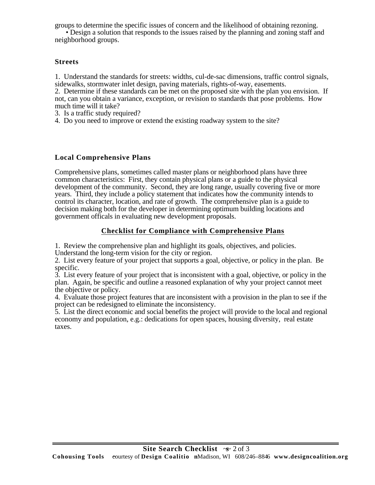groups to determine the specific issues of concern and the likelihood of obtaining rezoning.

• Design a solution that responds to the issues raised by the planning and zoning staff and neighborhood groups.

## **Streets**

l

1. Understand the standards for streets: widths, cul-de-sac dimensions, traffic control signals, sidewalks, stormwater inlet design, paving materials, rights-of-way, easements.

2. Determine if these standards can be met on the proposed site with the plan you envision. If not, can you obtain a variance, exception, or revision to standards that pose problems. How much time will it take?

3. Is a traffic study required?

4. Do you need to improve or extend the existing roadway system to the site?

# **Local Comprehensive Plans**

Comprehensive plans, sometimes called master plans or neighborhood plans have three common characteristics: First, they contain physical plans or a guide to the physical development of the community. Second, they are long range, usually covering five or more years. Third, they include a policy statement that indicates how the community intends to control its character, location, and rate of growth. The comprehensive plan is a guide to decision making both for the developer in determining optimum building locations and government officals in evaluating new development proposals.

# **Checklist for Compliance with Comprehensive Plans**

1. Review the comprehensive plan and highlight its goals, objectives, and policies.

Understand the long-term vision for the city or region.

2. List every feature of your project that supports a goal, objective, or policy in the plan. Be specific.

3. List every feature of your project that is inconsistent with a goal, objective, or policy in the plan. Again, be specific and outline a reasoned explanation of why your project cannot meet the objective or policy.

4. Evaluate those project features that are inconsistent with a provision in the plan to see if the project can be redesigned to eliminate the inconsistency.

5. List the direct economic and social benefits the project will provide to the local and regional economy and population, e.g.: dedications for open spaces, housing diversity, real estate taxes.